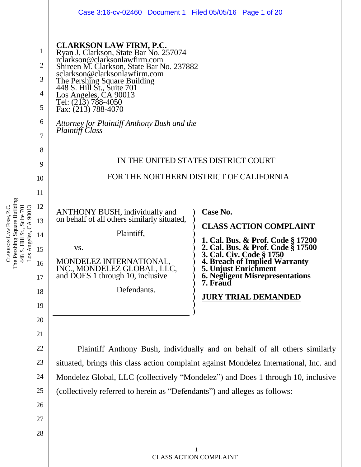|                                                           | Case 3:16-cv-02460 Document 1 Filed 05/05/16 Page 1 of 20                                                                                                                                                                                                                                                                                                                                        |                                                                                                                               |  |  |  |  |  |
|-----------------------------------------------------------|--------------------------------------------------------------------------------------------------------------------------------------------------------------------------------------------------------------------------------------------------------------------------------------------------------------------------------------------------------------------------------------------------|-------------------------------------------------------------------------------------------------------------------------------|--|--|--|--|--|
| 1<br>$\overline{2}$<br>3<br>$\overline{4}$<br>5<br>6<br>7 | <b>CLARKSON LAW FIRM, P.C.</b><br>Ryan J. Clarkson, State Bar No. 257074<br>rclarkson@clarksonlawfirm.com<br>Shireen M. Clarkson, State Bar No. 237882<br>sclarkson@clarksonlawfirm.com<br>The Pershing Square Building<br>448 S. Hill St., Suite 701<br>Los Angeles, CA 90013<br>Tel: (213) 788-4050<br>Fax: $(213)$ 788-4070<br>Attorney for Plaintiff Anthony Bush and the<br>Plaintiff Class |                                                                                                                               |  |  |  |  |  |
| 8<br>9                                                    | IN THE UNITED STATES DISTRICT COURT                                                                                                                                                                                                                                                                                                                                                              |                                                                                                                               |  |  |  |  |  |
| 10                                                        | FOR THE NORTHERN DISTRICT OF CALIFORNIA                                                                                                                                                                                                                                                                                                                                                          |                                                                                                                               |  |  |  |  |  |
| 11                                                        |                                                                                                                                                                                                                                                                                                                                                                                                  |                                                                                                                               |  |  |  |  |  |
| 12                                                        | <b>ANTHONY BUSH</b> , individually and                                                                                                                                                                                                                                                                                                                                                           | Case No.                                                                                                                      |  |  |  |  |  |
| 13                                                        | on behalf of all others similarly situated,                                                                                                                                                                                                                                                                                                                                                      | <b>CLASS ACTION COMPLAINT</b>                                                                                                 |  |  |  |  |  |
| 14                                                        | Plaintiff,                                                                                                                                                                                                                                                                                                                                                                                       | 1. Cal. Bus. & Prof. Code § 17200                                                                                             |  |  |  |  |  |
| 15<br>16                                                  | VS.<br><b>MONDELEZ INTERNATIONAL</b>                                                                                                                                                                                                                                                                                                                                                             | 2. Cal. Bus. & Prof. Code § 17500<br>3. Cal. Civ. Code § 1750<br><b>4. Breach of Implied Warranty</b><br>5. Unjust Enrichment |  |  |  |  |  |
| 17                                                        | INC., MONDELEZ GLOBAL, LLC,<br>and DOES 1 through 10, inclusive                                                                                                                                                                                                                                                                                                                                  | <b>6. Negligent Misrepresentations</b><br>7. Fraud                                                                            |  |  |  |  |  |
| 18                                                        | Defendants.                                                                                                                                                                                                                                                                                                                                                                                      | <b>JURY TRIAL DEMANDED</b>                                                                                                    |  |  |  |  |  |
| 19                                                        |                                                                                                                                                                                                                                                                                                                                                                                                  |                                                                                                                               |  |  |  |  |  |
| 20                                                        |                                                                                                                                                                                                                                                                                                                                                                                                  |                                                                                                                               |  |  |  |  |  |
| 21                                                        |                                                                                                                                                                                                                                                                                                                                                                                                  |                                                                                                                               |  |  |  |  |  |
| 22                                                        | Plaintiff Anthony Bush, individually and on behalf of all others similarly                                                                                                                                                                                                                                                                                                                       |                                                                                                                               |  |  |  |  |  |
| 23                                                        | situated, brings this class action complaint against Mondelez International, Inc. and                                                                                                                                                                                                                                                                                                            |                                                                                                                               |  |  |  |  |  |
| 24                                                        | Mondelez Global, LLC (collectively "Mondelez") and Does 1 through 10, inclusive                                                                                                                                                                                                                                                                                                                  |                                                                                                                               |  |  |  |  |  |
| 25                                                        | (collectively referred to herein as "Defendants") and alleges as follows:                                                                                                                                                                                                                                                                                                                        |                                                                                                                               |  |  |  |  |  |
| 26                                                        |                                                                                                                                                                                                                                                                                                                                                                                                  |                                                                                                                               |  |  |  |  |  |
| 27                                                        |                                                                                                                                                                                                                                                                                                                                                                                                  |                                                                                                                               |  |  |  |  |  |
| 28                                                        |                                                                                                                                                                                                                                                                                                                                                                                                  |                                                                                                                               |  |  |  |  |  |
|                                                           | <b>CLASS ACTION COMPLAINT</b>                                                                                                                                                                                                                                                                                                                                                                    |                                                                                                                               |  |  |  |  |  |
|                                                           |                                                                                                                                                                                                                                                                                                                                                                                                  |                                                                                                                               |  |  |  |  |  |

CLARKSON LAW FIRM, P.C. The Pershing Square Building 448 S. Hill St., Suite 701 Los Angeles, CA 90013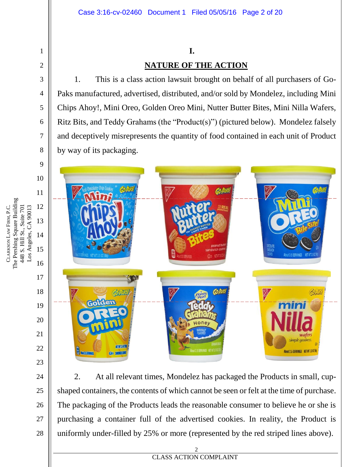## **I. NATURE OF THE ACTION**

1. This is a class action lawsuit brought on behalf of all purchasers of Go-Paks manufactured, advertised, distributed, and/or sold by Mondelez, including Mini Chips Ahoy!, Mini Oreo, Golden Oreo Mini, Nutter Butter Bites, Mini Nilla Wafers, Ritz Bits, and Teddy Grahams (the "Product(s)") (pictured below). Mondelez falsely and deceptively misrepresents the quantity of food contained in each unit of Product by way of its packaging.



2. At all relevant times, Mondelez has packaged the Products in small, cupshaped containers, the contents of which cannot be seen or felt at the time of purchase. The packaging of the Products leads the reasonable consumer to believe he or she is purchasing a container full of the advertised cookies. In reality, the Product is uniformly under-filled by 25% or more (represented by the red striped lines above).

1

2

3

4

5

6

7

8

24

25

26

27

28

**EXECUTES ACTION COMPLAINT** 2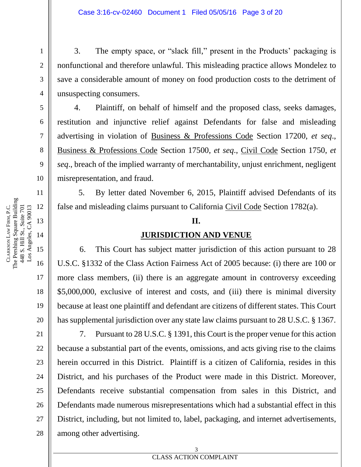3. The empty space, or "slack fill," present in the Products' packaging is nonfunctional and therefore unlawful. This misleading practice allows Mondelez to save a considerable amount of money on food production costs to the detriment of unsuspecting consumers.

4. Plaintiff, on behalf of himself and the proposed class, seeks damages, restitution and injunctive relief against Defendants for false and misleading advertising in violation of Business & Professions Code Section 17200, *et seq*., Business & Professions Code Section 17500, *et seq*., Civil Code Section 1750, *et seq*., breach of the implied warranty of merchantability, unjust enrichment, negligent misrepresentation, and fraud.

5. By letter dated November 6, 2015, Plaintiff advised Defendants of its false and misleading claims pursuant to California Civil Code Section 1782(a).

#### **II.**

#### **JURISDICTION AND VENUE**

6. This Court has subject matter jurisdiction of this action pursuant to 28 U.S.C. §1332 of the Class Action Fairness Act of 2005 because: (i) there are 100 or more class members, (ii) there is an aggregate amount in controversy exceeding \$5,000,000, exclusive of interest and costs, and (iii) there is minimal diversity because at least one plaintiff and defendant are citizens of different states. This Court has supplemental jurisdiction over any state law claims pursuant to 28 U.S.C. § 1367.

7. Pursuant to 28 U.S.C. § 1391, this Court is the proper venue for this action because a substantial part of the events, omissions, and acts giving rise to the claims herein occurred in this District. Plaintiff is a citizen of California, resides in this District, and his purchases of the Product were made in this District. Moreover, Defendants receive substantial compensation from sales in this District, and Defendants made numerous misrepresentations which had a substantial effect in this District, including, but not limited to, label, packaging, and internet advertisements, among other advertising.

CLARKSON

LAW

The Pershing Square Building 448 S. Hill St., Suite 701

448 S. Hill St., Suite 701

FIRM, P.C.

1

2

3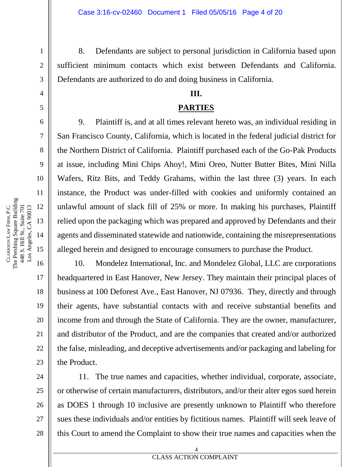8. Defendants are subject to personal jurisdiction in California based upon sufficient minimum contacts which exist between Defendants and California. Defendants are authorized to do and doing business in California.

#### **III.**

#### **PARTIES**

9. Plaintiff is, and at all times relevant hereto was, an individual residing in San Francisco County, California, which is located in the federal judicial district for the Northern District of California. Plaintiff purchased each of the Go-Pak Products at issue, including Mini Chips Ahoy!, Mini Oreo, Nutter Butter Bites, Mini Nilla Wafers, Ritz Bits, and Teddy Grahams, within the last three (3) years. In each instance, the Product was under-filled with cookies and uniformly contained an unlawful amount of slack fill of 25% or more. In making his purchases, Plaintiff relied upon the packaging which was prepared and approved by Defendants and their agents and disseminated statewide and nationwide, containing the misrepresentations alleged herein and designed to encourage consumers to purchase the Product.

10. Mondelez International, Inc. and Mondelez Global, LLC are corporations headquartered in East Hanover, New Jersey. They maintain their principal places of business at 100 Deforest Ave., East Hanover, NJ 07936. They, directly and through their agents, have substantial contacts with and receive substantial benefits and income from and through the State of California. They are the owner, manufacturer, and distributor of the Product, and are the companies that created and/or authorized the false, misleading, and deceptive advertisements and/or packaging and labeling for the Product.

11. The true names and capacities, whether individual, corporate, associate, or otherwise of certain manufacturers, distributors, and/or their alter egos sued herein as DOES 1 through 10 inclusive are presently unknown to Plaintiff who therefore sues these individuals and/or entities by fictitious names. Plaintiff will seek leave of this Court to amend the Complaint to show their true names and capacities when the

1

2

3

4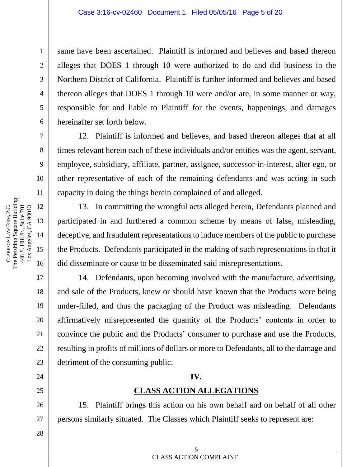same have been ascertained. Plaintiff is informed and believes and based thereon alleges that DOES 1 through 10 were authorized to do and did business in the Northern District of California. Plaintiff is further informed and believes and based thereon alleges that DOES 1 through 10 were and/or are, in some manner or way, responsible for and liable to Plaintiff for the events, happenings, and damages hereinafter set forth below.

12. Plaintiff is informed and believes, and based thereon alleges that at all times relevant herein each of these individuals and/or entities was the agent, servant, employee, subsidiary, affiliate, partner, assignee, successor-in-interest, alter ego, or other representative of each of the remaining defendants and was acting in such capacity in doing the things herein complained of and alleged.

13. In committing the wrongful acts alleged herein, Defendants planned and participated in and furthered a common scheme by means of false, misleading, deceptive, and fraudulent representations to induce members of the public to purchase the Products. Defendants participated in the making of such representations in that it did disseminate or cause to be disseminated said misrepresentations.

14. Defendants, upon becoming involved with the manufacture, advertising, and sale of the Products, knew or should have known that the Products were being under-filled, and thus the packaging of the Product was misleading. Defendants affirmatively misrepresented the quantity of the Products' contents in order to convince the public and the Products' consumer to purchase and use the Products, resulting in profits of millions of dollars or more to Defendants, all to the damage and detriment of the consuming public.

#### **IV.**

#### **CLASS ACTION ALLEGATIONS**

15. Plaintiff brings this action on his own behalf and on behalf of all other persons similarly situated. The Classes which Plaintiff seeks to represent are:

1

2

3

4

5

6

7

8

9

10

11

17

18

19

20

21

22

23

24

25

26

27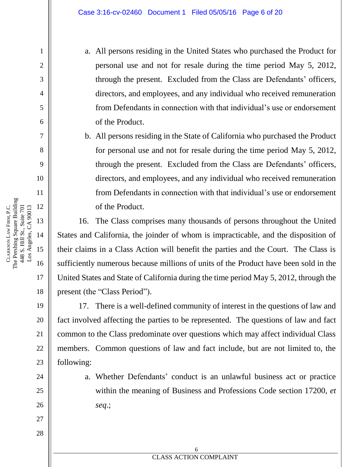a. All persons residing in the United States who purchased the Product for personal use and not for resale during the time period May 5, 2012, through the present. Excluded from the Class are Defendants' officers, directors, and employees, and any individual who received remuneration from Defendants in connection with that individual's use or endorsement of the Product.

b. All persons residing in the State of California who purchased the Product for personal use and not for resale during the time period May 5, 2012, through the present. Excluded from the Class are Defendants' officers, directors, and employees, and any individual who received remuneration from Defendants in connection with that individual's use or endorsement of the Product.

16. The Class comprises many thousands of persons throughout the United States and California, the joinder of whom is impracticable, and the disposition of their claims in a Class Action will benefit the parties and the Court. The Class is sufficiently numerous because millions of units of the Product have been sold in the United States and State of California during the time period May 5, 2012, through the present (the "Class Period").

17. There is a well-defined community of interest in the questions of law and fact involved affecting the parties to be represented. The questions of law and fact common to the Class predominate over questions which may affect individual Class members. Common questions of law and fact include, but are not limited to, the following:

> a. Whether Defendants' conduct is an unlawful business act or practice within the meaning of Business and Professions Code section 17200, *et seq*.;

**EXECUTES ACTION COMPLAINT** 6

The Pershing Square Building 12 Los Angeles, CA 90013 FIRM, P.C. 448 S. Hill St., Suite 701 448 S. Hill St., Suite 701 Los Angeles, CA 90013 13 LAW 14 CLARKSON

1

2

3

4

5

6

7

8

9

10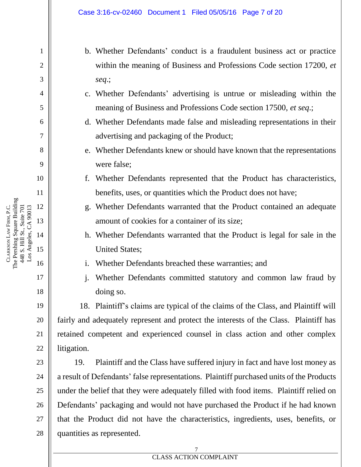- b. Whether Defendants' conduct is a fraudulent business act or practice within the meaning of Business and Professions Code section 17200, *et seq*.;
- c. Whether Defendants' advertising is untrue or misleading within the meaning of Business and Professions Code section 17500, *et seq*.;
- d. Whether Defendants made false and misleading representations in their advertising and packaging of the Product;
- e. Whether Defendants knew or should have known that the representations were false;
- f. Whether Defendants represented that the Product has characteristics, benefits, uses, or quantities which the Product does not have;
- g. Whether Defendants warranted that the Product contained an adequate amount of cookies for a container of its size;
- h. Whether Defendants warranted that the Product is legal for sale in the United States;
- i. Whether Defendants breached these warranties; and
- j. Whether Defendants committed statutory and common law fraud by doing so.

18. Plaintiff's claims are typical of the claims of the Class, and Plaintiff will fairly and adequately represent and protect the interests of the Class. Plaintiff has retained competent and experienced counsel in class action and other complex litigation.

19. Plaintiff and the Class have suffered injury in fact and have lost money as a result of Defendants' false representations. Plaintiff purchased units of the Products under the belief that they were adequately filled with food items. Plaintiff relied on Defendants' packaging and would not have purchased the Product if he had known that the Product did not have the characteristics, ingredients, uses, benefits, or quantities as represented.

The Pershing Square Building 12 Los Angeles, CA 90013 FIRM, P.C. 448 S. Hill St., Suite 701 448 S. Hill St., Suite 701 Los Angeles, CA 90013 LAW CLARKSON

1

2

3

4

5

6

7

8

9

10

11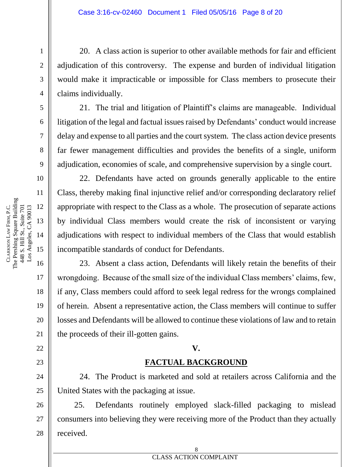20. A class action is superior to other available methods for fair and efficient adjudication of this controversy. The expense and burden of individual litigation would make it impracticable or impossible for Class members to prosecute their claims individually.

21. The trial and litigation of Plaintiff's claims are manageable. Individual litigation of the legal and factual issues raised by Defendants' conduct would increase delay and expense to all parties and the court system. The class action device presents far fewer management difficulties and provides the benefits of a single, uniform adjudication, economies of scale, and comprehensive supervision by a single court.

22. Defendants have acted on grounds generally applicable to the entire Class, thereby making final injunctive relief and/or corresponding declaratory relief appropriate with respect to the Class as a whole. The prosecution of separate actions by individual Class members would create the risk of inconsistent or varying adjudications with respect to individual members of the Class that would establish incompatible standards of conduct for Defendants.

23. Absent a class action, Defendants will likely retain the benefits of their wrongdoing. Because of the small size of the individual Class members' claims, few, if any, Class members could afford to seek legal redress for the wrongs complained of herein. Absent a representative action, the Class members will continue to suffer losses and Defendants will be allowed to continue these violations of law and to retain the proceeds of their ill-gotten gains.

#### **V.**

#### **FACTUAL BACKGROUND**

24. The Product is marketed and sold at retailers across California and the United States with the packaging at issue.

25. Defendants routinely employed slack-filled packaging to mislead consumers into believing they were receiving more of the Product than they actually received.

1

2

3

4

5

6

7

8

9

10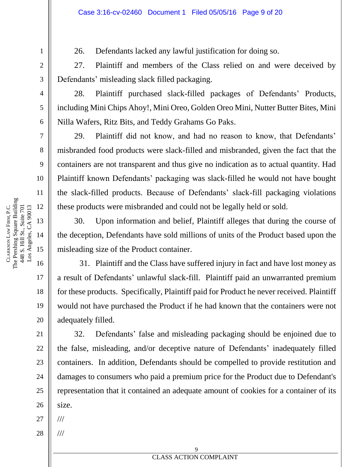26. Defendants lacked any lawful justification for doing so.

27. Plaintiff and members of the Class relied on and were deceived by Defendants' misleading slack filled packaging.

28. Plaintiff purchased slack-filled packages of Defendants' Products, including Mini Chips Ahoy!, Mini Oreo, Golden Oreo Mini, Nutter Butter Bites, Mini Nilla Wafers, Ritz Bits, and Teddy Grahams Go Paks.

29. Plaintiff did not know, and had no reason to know, that Defendants' misbranded food products were slack-filled and misbranded, given the fact that the containers are not transparent and thus give no indication as to actual quantity. Had Plaintiff known Defendants' packaging was slack-filled he would not have bought the slack-filled products. Because of Defendants' slack-fill packaging violations these products were misbranded and could not be legally held or sold.

30. Upon information and belief, Plaintiff alleges that during the course of the deception, Defendants have sold millions of units of the Product based upon the misleading size of the Product container.

31. Plaintiff and the Class have suffered injury in fact and have lost money as a result of Defendants' unlawful slack-fill. Plaintiff paid an unwarranted premium for these products. Specifically, Plaintiff paid for Product he never received. Plaintiff would not have purchased the Product if he had known that the containers were not adequately filled.

32. Defendants' false and misleading packaging should be enjoined due to the false, misleading, and/or deceptive nature of Defendants' inadequately filled containers. In addition, Defendants should be compelled to provide restitution and damages to consumers who paid a premium price for the Product due to Defendant's representation that it contained an adequate amount of cookies for a container of its size.

27 ///

///

28

**EXAMPLE PROPERTY NAMES ACTION COMPLAINT** 9

The Pershing Square Building 12 Los Angeles, CA 90013 FIRM, P.C. 448 S. Hill St., Suite 701 448 S. Hill St., Suite 701 Los Angeles, CA 90013 13 LAW 14 CLARKSON 15 16

1

2

3

4

5

6

7

8

9

10

11

17

18

19

20

21

22

23

24

25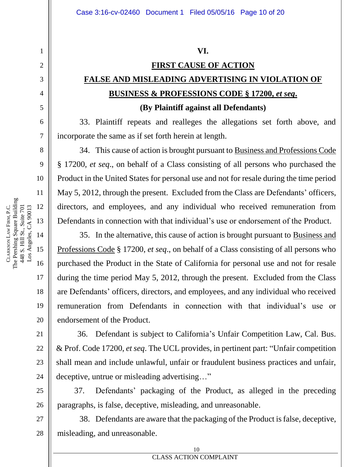#### **VI.**

# **FIRST CAUSE OF ACTION FALSE AND MISLEADING ADVERTISING IN VIOLATION OF BUSINESS & PROFESSIONS CODE § 17200,** *et seq***.**

#### **(By Plaintiff against all Defendants)**

33. Plaintiff repeats and realleges the allegations set forth above, and incorporate the same as if set forth herein at length.

34. This cause of action is brought pursuant to Business and Professions Code § 17200, *et seq*., on behalf of a Class consisting of all persons who purchased the Product in the United States for personal use and not for resale during the time period May 5, 2012, through the present. Excluded from the Class are Defendants' officers, directors, and employees, and any individual who received remuneration from Defendants in connection with that individual's use or endorsement of the Product.

35. In the alternative, this cause of action is brought pursuant to Business and Professions Code § 17200, *et seq*., on behalf of a Class consisting of all persons who purchased the Product in the State of California for personal use and not for resale during the time period May 5, 2012, through the present. Excluded from the Class are Defendants' officers, directors, and employees, and any individual who received remuneration from Defendants in connection with that individual's use or endorsement of the Product.

36. Defendant is subject to California's Unfair Competition Law, Cal. Bus. & Prof. Code 17200, *et seq*. The UCL provides, in pertinent part: "Unfair competition shall mean and include unlawful, unfair or fraudulent business practices and unfair, deceptive, untrue or misleading advertising…"

37. Defendants' packaging of the Product, as alleged in the preceding paragraphs, is false, deceptive, misleading, and unreasonable.

38. Defendants are aware that the packaging of the Product is false, deceptive, misleading, and unreasonable.

1

2

3

4

5

6

7

8

9

10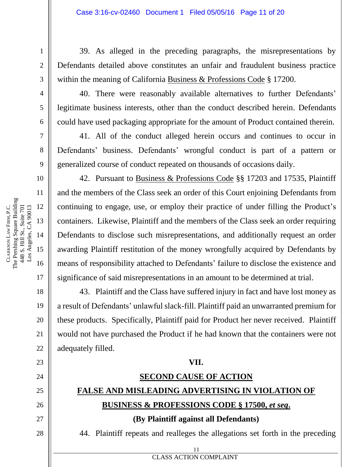39. As alleged in the preceding paragraphs, the misrepresentations by Defendants detailed above constitutes an unfair and fraudulent business practice within the meaning of California Business & Professions Code § 17200.

40. There were reasonably available alternatives to further Defendants' legitimate business interests, other than the conduct described herein. Defendants could have used packaging appropriate for the amount of Product contained therein.

41. All of the conduct alleged herein occurs and continues to occur in Defendants' business. Defendants' wrongful conduct is part of a pattern or generalized course of conduct repeated on thousands of occasions daily.

42. Pursuant to Business & Professions Code §§ 17203 and 17535, Plaintiff and the members of the Class seek an order of this Court enjoining Defendants from continuing to engage, use, or employ their practice of under filling the Product's containers. Likewise, Plaintiff and the members of the Class seek an order requiring Defendants to disclose such misrepresentations, and additionally request an order awarding Plaintiff restitution of the money wrongfully acquired by Defendants by means of responsibility attached to Defendants' failure to disclose the existence and significance of said misrepresentations in an amount to be determined at trial.

43. Plaintiff and the Class have suffered injury in fact and have lost money as a result of Defendants' unlawful slack-fill. Plaintiff paid an unwarranted premium for these products. Specifically, Plaintiff paid for Product her never received. Plaintiff would not have purchased the Product if he had known that the containers were not adequately filled.

#### **VII.**

# **SECOND CAUSE OF ACTION FALSE AND MISLEADING ADVERTISING IN VIOLATION OF BUSINESS & PROFESSIONS CODE § 17500,** *et seq***.**

**(By Plaintiff against all Defendants)**

11

**EXECUTE 2** CLASS ACTION COMPLAINT

44. Plaintiff repeats and realleges the allegations set forth in the preceding

CLARKSON

LAW

The Pershing Square Building

FIRM, P.C.

26

27

28

1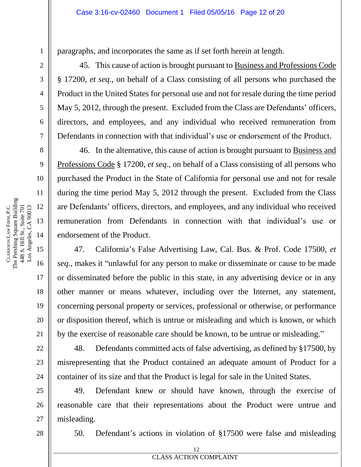paragraphs, and incorporates the same as if set forth herein at length.

45. This cause of action is brought pursuant to Business and Professions Code § 17200, *et seq*., on behalf of a Class consisting of all persons who purchased the Product in the United States for personal use and not for resale during the time period May 5, 2012, through the present. Excluded from the Class are Defendants' officers, directors, and employees, and any individual who received remuneration from Defendants in connection with that individual's use or endorsement of the Product.

46. In the alternative, this cause of action is brought pursuant to Business and Professions Code § 17200, *et seq*., on behalf of a Class consisting of all persons who purchased the Product in the State of California for personal use and not for resale during the time period May 5, 2012 through the present. Excluded from the Class are Defendants' officers, directors, and employees, and any individual who received remuneration from Defendants in connection with that individual's use or endorsement of the Product.

47. California's False Advertising Law, Cal. Bus. & Prof. Code 17500, *et seq*., makes it "unlawful for any person to make or disseminate or cause to be made or disseminated before the public in this state, in any advertising device or in any other manner or means whatever, including over the Internet, any statement, concerning personal property or services, professional or otherwise, or performance or disposition thereof, which is untrue or misleading and which is known, or which by the exercise of reasonable care should be known, to be untrue or misleading."

48. Defendants committed acts of false advertising, as defined by §17500, by misrepresenting that the Product contained an adequate amount of Product for a container of its size and that the Product is legal for sale in the United States.

49. Defendant knew or should have known, through the exercise of reasonable care that their representations about the Product were untrue and misleading.

28

50. Defendant's actions in violation of §17500 were false and misleading

1

2

3

4

5

6

7

8

9

10

11

17

18

19

20

21

22

23

24

25

26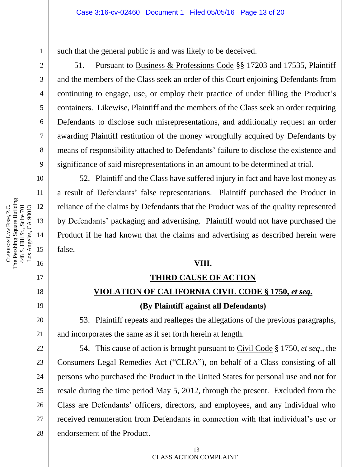such that the general public is and was likely to be deceived.

51. Pursuant to Business & Professions Code §§ 17203 and 17535, Plaintiff and the members of the Class seek an order of this Court enjoining Defendants from continuing to engage, use, or employ their practice of under filling the Product's containers. Likewise, Plaintiff and the members of the Class seek an order requiring Defendants to disclose such misrepresentations, and additionally request an order awarding Plaintiff restitution of the money wrongfully acquired by Defendants by means of responsibility attached to Defendants' failure to disclose the existence and significance of said misrepresentations in an amount to be determined at trial.

52. Plaintiff and the Class have suffered injury in fact and have lost money as a result of Defendants' false representations. Plaintiff purchased the Product in reliance of the claims by Defendants that the Product was of the quality represented by Defendants' packaging and advertising. Plaintiff would not have purchased the Product if he had known that the claims and advertising as described herein were false.

#### **VIII.**

#### **THIRD CAUSE OF ACTION**

## **VIOLATION OF CALIFORNIA CIVIL CODE § 1750,** *et seq***.**

#### **(By Plaintiff against all Defendants)**

53. Plaintiff repeats and realleges the allegations of the previous paragraphs, and incorporates the same as if set forth herein at length.

54. This cause of action is brought pursuant to Civil Code § 1750, *et seq*., the Consumers Legal Remedies Act ("CLRA"), on behalf of a Class consisting of all persons who purchased the Product in the United States for personal use and not for resale during the time period May 5, 2012, through the present. Excluded from the Class are Defendants' officers, directors, and employees, and any individual who received remuneration from Defendants in connection with that individual's use or endorsement of the Product.

1

2

3

4

5

6

7

8

9

10

11

17

18

19

20

21

22

23

24

25

26

27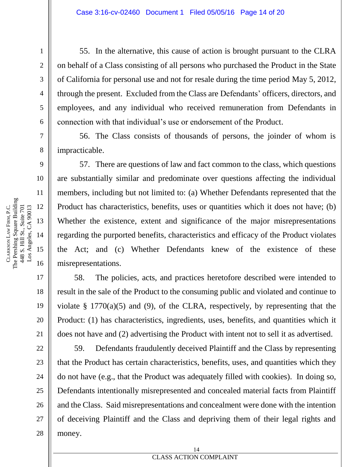55. In the alternative, this cause of action is brought pursuant to the CLRA on behalf of a Class consisting of all persons who purchased the Product in the State of California for personal use and not for resale during the time period May 5, 2012, through the present. Excluded from the Class are Defendants' officers, directors, and employees, and any individual who received remuneration from Defendants in connection with that individual's use or endorsement of the Product.

56. The Class consists of thousands of persons, the joinder of whom is impracticable.

57. There are questions of law and fact common to the class, which questions are substantially similar and predominate over questions affecting the individual members, including but not limited to: (a) Whether Defendants represented that the Product has characteristics, benefits, uses or quantities which it does not have; (b) Whether the existence, extent and significance of the major misrepresentations regarding the purported benefits, characteristics and efficacy of the Product violates the Act; and (c) Whether Defendants knew of the existence of these misrepresentations.

58. The policies, acts, and practices heretofore described were intended to result in the sale of the Product to the consuming public and violated and continue to violate  $\S$  1770(a)(5) and (9), of the CLRA, respectively, by representing that the Product: (1) has characteristics, ingredients, uses, benefits, and quantities which it does not have and (2) advertising the Product with intent not to sell it as advertised.

59. Defendants fraudulently deceived Plaintiff and the Class by representing that the Product has certain characteristics, benefits, uses, and quantities which they do not have (e.g., that the Product was adequately filled with cookies). In doing so, Defendants intentionally misrepresented and concealed material facts from Plaintiff and the Class. Said misrepresentations and concealment were done with the intention of deceiving Plaintiff and the Class and depriving them of their legal rights and money.

1

2

3

4

5

6

7

8

9

10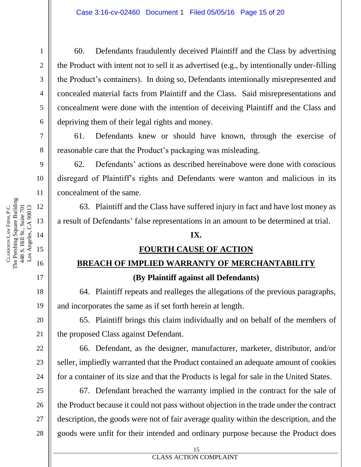60. Defendants fraudulently deceived Plaintiff and the Class by advertising the Product with intent not to sell it as advertised (e.g., by intentionally under-filling the Product's containers). In doing so, Defendants intentionally misrepresented and concealed material facts from Plaintiff and the Class. Said misrepresentations and concealment were done with the intention of deceiving Plaintiff and the Class and depriving them of their legal rights and money.

61. Defendants knew or should have known, through the exercise of reasonable care that the Product's packaging was misleading.

62. Defendants' actions as described hereinabove were done with conscious disregard of Plaintiff's rights and Defendants were wanton and malicious in its concealment of the same.

63. Plaintiff and the Class have suffered injury in fact and have lost money as a result of Defendants' false representations in an amount to be determined at trial.

#### **IX.**

#### **FOURTH CAUSE OF ACTION**

# **BREACH OF IMPLIED WARRANTY OF MERCHANTABILITY (By Plaintiff against all Defendants)**

64. Plaintiff repeats and realleges the allegations of the previous paragraphs, and incorporates the same as if set forth herein at length.

65. Plaintiff brings this claim individually and on behalf of the members of the proposed Class against Defendant.

66. Defendant, as the designer, manufacturer, marketer, distributor, and/or seller, impliedly warranted that the Product contained an adequate amount of cookies for a container of its size and that the Products is legal for sale in the United States.

67. Defendant breached the warranty implied in the contract for the sale of the Product because it could not pass without objection in the trade under the contract description, the goods were not of fair average quality within the description, and the goods were unfit for their intended and ordinary purpose because the Product does

CLARKSON

LAW

The Pershing Square Building

FIRM, P.C.

24

25

26

27

28

1

2

**EXECUTES ACTION COMPLAINT** 15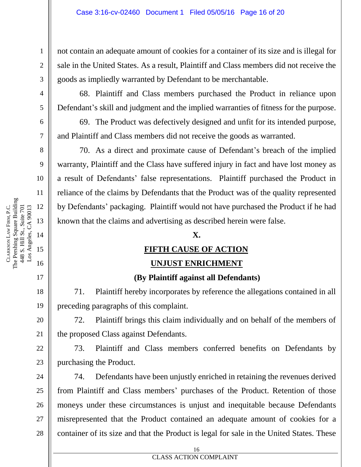not contain an adequate amount of cookies for a container of its size and is illegal for sale in the United States. As a result, Plaintiff and Class members did not receive the goods as impliedly warranted by Defendant to be merchantable.

68. Plaintiff and Class members purchased the Product in reliance upon Defendant's skill and judgment and the implied warranties of fitness for the purpose.

69. The Product was defectively designed and unfit for its intended purpose, and Plaintiff and Class members did not receive the goods as warranted.

70. As a direct and proximate cause of Defendant's breach of the implied warranty, Plaintiff and the Class have suffered injury in fact and have lost money as a result of Defendants' false representations. Plaintiff purchased the Product in reliance of the claims by Defendants that the Product was of the quality represented by Defendants' packaging. Plaintiff would not have purchased the Product if he had known that the claims and advertising as described herein were false.

#### **X.**

#### **FIFTH CAUSE OF ACTION**

#### **UNJUST ENRICHMENT**

#### **(By Plaintiff against all Defendants)**

71. Plaintiff hereby incorporates by reference the allegations contained in all preceding paragraphs of this complaint.

72. Plaintiff brings this claim individually and on behalf of the members of the proposed Class against Defendants.

73. Plaintiff and Class members conferred benefits on Defendants by purchasing the Product.

24 25 26 28 74. Defendants have been unjustly enriched in retaining the revenues derived from Plaintiff and Class members' purchases of the Product. Retention of those moneys under these circumstances is unjust and inequitable because Defendants misrepresented that the Product contained an adequate amount of cookies for a container of its size and that the Product is legal for sale in the United States. These

1

2

3

4

5

6

7

8

9

10

11

17

18

19

20

21

22

23

27

# **ERROR DOCUMENT PROPERTY NAMES ACTION COMPLAINT**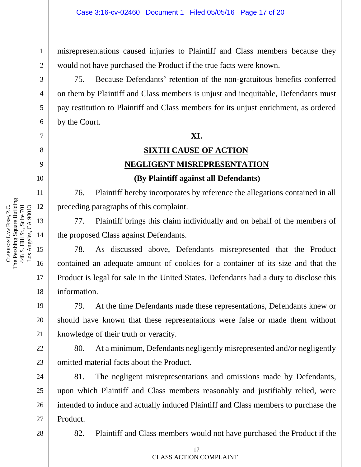misrepresentations caused injuries to Plaintiff and Class members because they would not have purchased the Product if the true facts were known.

75. Because Defendants' retention of the non-gratuitous benefits conferred on them by Plaintiff and Class members is unjust and inequitable, Defendants must pay restitution to Plaintiff and Class members for its unjust enrichment, as ordered by the Court.

#### **XI.**

# **SIXTH CAUSE OF ACTION NEGLIGENT MISREPRESENTATION**

#### **(By Plaintiff against all Defendants)**

76. Plaintiff hereby incorporates by reference the allegations contained in all preceding paragraphs of this complaint.

77. Plaintiff brings this claim individually and on behalf of the members of the proposed Class against Defendants.

78. As discussed above, Defendants misrepresented that the Product contained an adequate amount of cookies for a container of its size and that the Product is legal for sale in the United States. Defendants had a duty to disclose this information.

79. At the time Defendants made these representations, Defendants knew or should have known that these representations were false or made them without knowledge of their truth or veracity.

80. At a minimum, Defendants negligently misrepresented and/or negligently omitted material facts about the Product.

81. The negligent misrepresentations and omissions made by Defendants, upon which Plaintiff and Class members reasonably and justifiably relied, were intended to induce and actually induced Plaintiff and Class members to purchase the Product.

28

27

82. Plaintiff and Class members would not have purchased the Product if the

FIRM, P.C.

1

2

3

4

5

6

7

8

9

10

11

12

13

14

15

16

17

18

19

20

21

22

23

24

25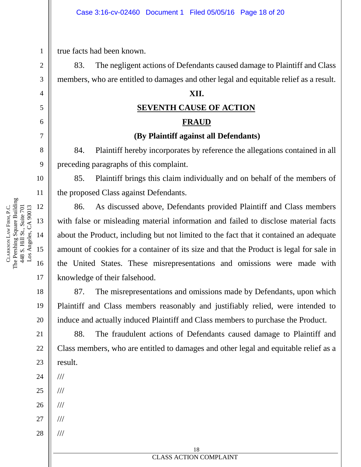true facts had been known.

83. The negligent actions of Defendants caused damage to Plaintiff and Class members, who are entitled to damages and other legal and equitable relief as a result.

#### **XII.**

## **SEVENTH CAUSE OF ACTION FRAUD**

#### **(By Plaintiff against all Defendants)**

84. Plaintiff hereby incorporates by reference the allegations contained in all preceding paragraphs of this complaint.

85. Plaintiff brings this claim individually and on behalf of the members of the proposed Class against Defendants.

86. As discussed above, Defendants provided Plaintiff and Class members with false or misleading material information and failed to disclose material facts about the Product, including but not limited to the fact that it contained an adequate amount of cookies for a container of its size and that the Product is legal for sale in the United States. These misrepresentations and omissions were made with knowledge of their falsehood.

87. The misrepresentations and omissions made by Defendants, upon which Plaintiff and Class members reasonably and justifiably relied, were intended to induce and actually induced Plaintiff and Class members to purchase the Product.

88. The fraudulent actions of Defendants caused damage to Plaintiff and Class members, who are entitled to damages and other legal and equitable relief as a result.

- 24 ///
- 25 ///
- 26 ///
- 27 ///

///

28

1

2

3

4

5

6

7

8

9

10

11

17

18

19

20

21

22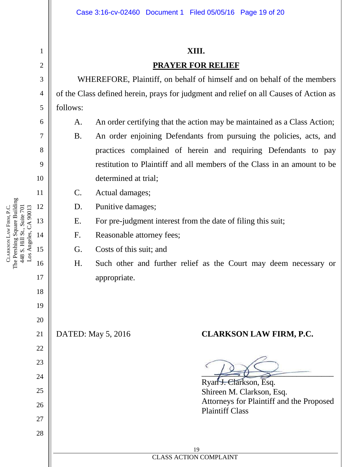#### **XIII.**

#### **PRAYER FOR RELIEF**

WHEREFORE, Plaintiff, on behalf of himself and on behalf of the members of the Class defined herein, prays for judgment and relief on all Causes of Action as follows:

- A. An order certifying that the action may be maintained as a Class Action;
	- B. An order enjoining Defendants from pursuing the policies, acts, and practices complained of herein and requiring Defendants to pay restitution to Plaintiff and all members of the Class in an amount to be determined at trial;
- C. Actual damages;
- D. Punitive damages;
- E. For pre-judgment interest from the date of filing this suit;
- F. Reasonable attorney fees;
- G. Costs of this suit; and
- H. Such other and further relief as the Court may deem necessary or appropriate.

## DATED: May 5, 2016 **CLARKSON LAW FIRM, P.C.**

 $\overline{\longrightarrow}$ 

Ryan J. Clarkson, Esq. Shireen M. Clarkson, Esq. Attorneys for Plaintiff and the Proposed Plaintiff Class

1

2

3

4

5

6

7

8

9

10

11

17

18

19

20

21

22

23

24

25

26

27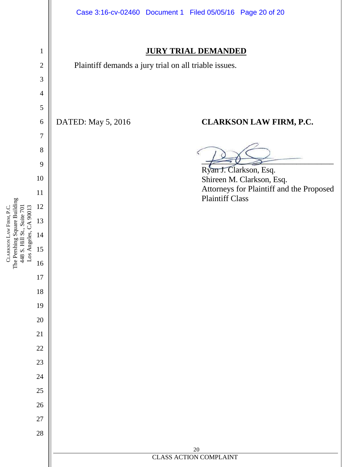

CLARKSON

LAW

FIRM, P.C.